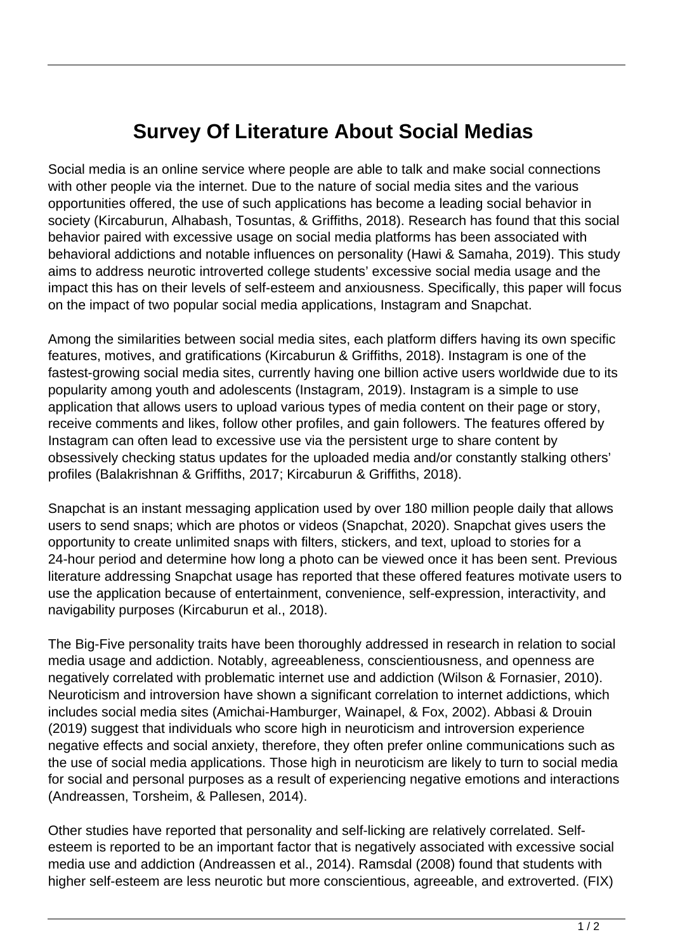## **Survey Of Literature About Social Medias**

Social media is an online service where people are able to talk and make social connections with other people via the internet. Due to the nature of social media sites and the various opportunities offered, the use of such applications has become a leading social behavior in society (Kircaburun, Alhabash, Tosuntas, & Griffiths, 2018). Research has found that this social behavior paired with excessive usage on social media platforms has been associated with behavioral addictions and notable influences on personality (Hawi & Samaha, 2019). This study aims to address neurotic introverted college students' excessive social media usage and the impact this has on their levels of self-esteem and anxiousness. Specifically, this paper will focus on the impact of two popular social media applications, Instagram and Snapchat.

Among the similarities between social media sites, each platform differs having its own specific features, motives, and gratifications (Kircaburun & Griffiths, 2018). Instagram is one of the fastest-growing social media sites, currently having one billion active users worldwide due to its popularity among youth and adolescents (Instagram, 2019). Instagram is a simple to use application that allows users to upload various types of media content on their page or story, receive comments and likes, follow other profiles, and gain followers. The features offered by Instagram can often lead to excessive use via the persistent urge to share content by obsessively checking status updates for the uploaded media and/or constantly stalking others' profiles (Balakrishnan & Griffiths, 2017; Kircaburun & Griffiths, 2018).

Snapchat is an instant messaging application used by over 180 million people daily that allows users to send snaps; which are photos or videos (Snapchat, 2020). Snapchat gives users the opportunity to create unlimited snaps with filters, stickers, and text, upload to stories for a 24-hour period and determine how long a photo can be viewed once it has been sent. Previous literature addressing Snapchat usage has reported that these offered features motivate users to use the application because of entertainment, convenience, self-expression, interactivity, and navigability purposes (Kircaburun et al., 2018).

The Big-Five personality traits have been thoroughly addressed in research in relation to social media usage and addiction. Notably, agreeableness, conscientiousness, and openness are negatively correlated with problematic internet use and addiction (Wilson & Fornasier, 2010). Neuroticism and introversion have shown a significant correlation to internet addictions, which includes social media sites (Amichai-Hamburger, Wainapel, & Fox, 2002). Abbasi & Drouin (2019) suggest that individuals who score high in neuroticism and introversion experience negative effects and social anxiety, therefore, they often prefer online communications such as the use of social media applications. Those high in neuroticism are likely to turn to social media for social and personal purposes as a result of experiencing negative emotions and interactions (Andreassen, Torsheim, & Pallesen, 2014).

Other studies have reported that personality and self-licking are relatively correlated. Selfesteem is reported to be an important factor that is negatively associated with excessive social media use and addiction (Andreassen et al., 2014). Ramsdal (2008) found that students with higher self-esteem are less neurotic but more conscientious, agreeable, and extroverted. (FIX)